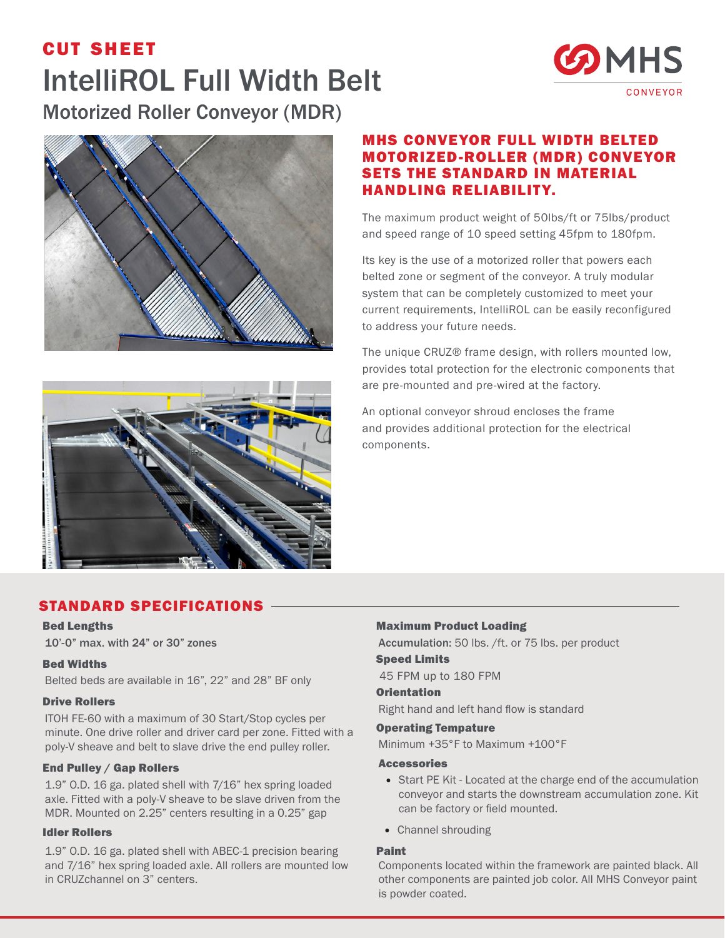# cut sheet IntelliROL Full Width Belt Motorized Roller Conveyor (MDR)





## MHS CONVEYOR FULL WIDTH BELTED MOTORIZED-ROLLER (MDR) CONVEYOR SETS THE STANDARD IN MATERIAL HANDLING RELIABILITY.

The maximum product weight of 50lbs/ft or 75lbs/product and speed range of 10 speed setting 45fpm to 180fpm.

Its key is the use of a motorized roller that powers each belted zone or segment of the conveyor. A truly modular system that can be completely customized to meet your current requirements, IntelliROL can be easily reconfigured to address your future needs.

The unique CRUZ® frame design, with rollers mounted low, provides total protection for the electronic components that are pre-mounted and pre-wired at the factory.

An optional conveyor shroud encloses the frame and provides additional protection for the electrical components.



# STANDARD SPECIFICATIONS

### Bed Lengths

10'-0" max. with 24" or 30" zones

## Bed Widths

Belted beds are available in 16", 22" and 28" BF only

#### Drive Rollers

ITOH FE-60 with a maximum of 30 Start/Stop cycles per minute. One drive roller and driver card per zone. Fitted with a poly-V sheave and belt to slave drive the end pulley roller.

#### End Pulley / Gap Rollers

1.9" O.D. 16 ga. plated shell with 7/16" hex spring loaded axle. Fitted with a poly-V sheave to be slave driven from the MDR. Mounted on 2.25" centers resulting in a 0.25" gap

#### Idler Rollers

1.9" O.D. 16 ga. plated shell with ABEC-1 precision bearing and 7/16" hex spring loaded axle. All rollers are mounted low in CRUZchannel on 3" centers.

## Maximum Product Loading

Accumulation: 50 lbs. /ft. or 75 lbs. per product Speed Limits

45 FPM up to 180 FPM

### **Orientation**

Right hand and left hand flow is standard

#### Operating Tempature

Minimum +35°F to Maximum +100°F

#### Accessories

- Start PE Kit Located at the charge end of the accumulation conveyor and starts the downstream accumulation zone. Kit can be factory or field mounted.
- Channel shrouding

### Paint

Components located within the framework are painted black. All other components are painted job color. All MHS Conveyor paint is powder coated.